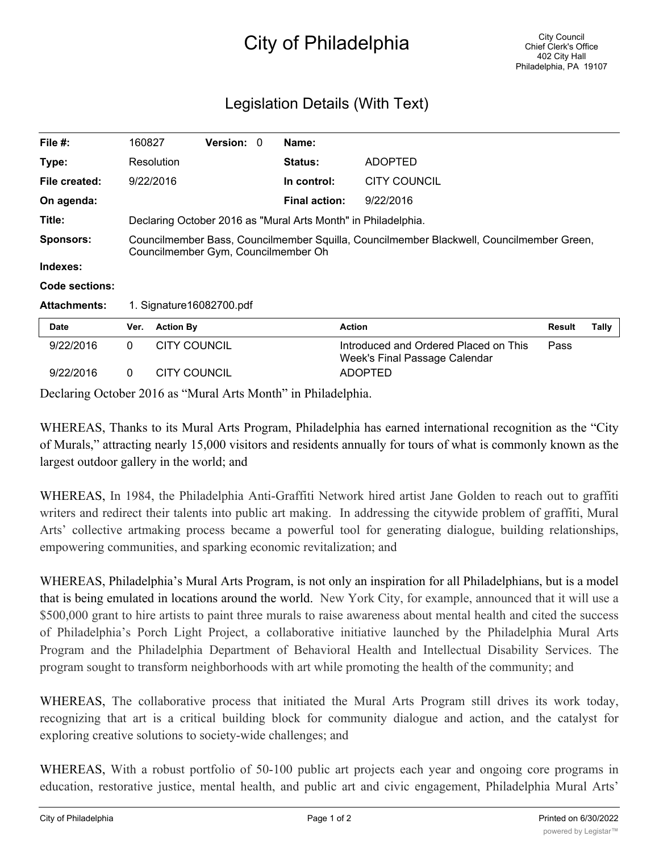## City of Philadelphia

## Legislation Details (With Text)

| File $#$ :          | 160827                                                                                                                          |                     | <b>Version: 0</b> |  | Name:                |                                                                        |               |       |
|---------------------|---------------------------------------------------------------------------------------------------------------------------------|---------------------|-------------------|--|----------------------|------------------------------------------------------------------------|---------------|-------|
| Type:               |                                                                                                                                 | Resolution          |                   |  | <b>Status:</b>       | <b>ADOPTED</b>                                                         |               |       |
| File created:       |                                                                                                                                 | 9/22/2016           |                   |  | In control:          | <b>CITY COUNCIL</b>                                                    |               |       |
| On agenda:          |                                                                                                                                 |                     |                   |  | <b>Final action:</b> | 9/22/2016                                                              |               |       |
| Title:              | Declaring October 2016 as "Mural Arts Month" in Philadelphia.                                                                   |                     |                   |  |                      |                                                                        |               |       |
| Sponsors:           | Councilmember Bass, Councilmember Squilla, Councilmember Blackwell, Councilmember Green,<br>Councilmember Gym, Councilmember Oh |                     |                   |  |                      |                                                                        |               |       |
| Indexes:            |                                                                                                                                 |                     |                   |  |                      |                                                                        |               |       |
| Code sections:      |                                                                                                                                 |                     |                   |  |                      |                                                                        |               |       |
| <b>Attachments:</b> | 1. Signature 16082700.pdf                                                                                                       |                     |                   |  |                      |                                                                        |               |       |
| <b>Date</b>         | Ver.                                                                                                                            | <b>Action By</b>    |                   |  |                      | <b>Action</b>                                                          | <b>Result</b> | Tally |
| 9/22/2016           | $\mathbf{0}$                                                                                                                    | <b>CITY COUNCIL</b> |                   |  |                      | Introduced and Ordered Placed on This<br>Week's Final Passage Calendar | Pass          |       |
| 9/22/2016           | $\mathbf{0}$                                                                                                                    | <b>CITY COUNCIL</b> |                   |  |                      | <b>ADOPTED</b>                                                         |               |       |

Declaring October 2016 as "Mural Arts Month" in Philadelphia.

WHEREAS, Thanks to its Mural Arts Program, Philadelphia has earned international recognition as the "City of Murals," attracting nearly 15,000 visitors and residents annually for tours of what is commonly known as the largest outdoor gallery in the world; and

WHEREAS, In 1984, the Philadelphia Anti-Graffiti Network hired artist Jane Golden to reach out to graffiti writers and redirect their talents into public art making. In addressing the citywide problem of graffiti, Mural Arts' collective artmaking process became a powerful tool for generating dialogue, building relationships, empowering communities, and sparking economic revitalization; and

WHEREAS, Philadelphia's Mural Arts Program, is not only an inspiration for all Philadelphians, but is a model that is being emulated in locations around the world. New York City, for example, announced that it will use a \$500,000 grant to hire artists to paint three murals to raise awareness about mental health and cited the success of Philadelphia's Porch Light Project, a collaborative initiative launched by the Philadelphia Mural Arts Program and the Philadelphia Department of Behavioral Health and Intellectual Disability Services. The program sought to transform neighborhoods with art while promoting the health of the community; and

WHEREAS, The collaborative process that initiated the Mural Arts Program still drives its work today, recognizing that art is a critical building block for community dialogue and action, and the catalyst for exploring creative solutions to society-wide challenges; and

WHEREAS, With a robust portfolio of 50-100 public art projects each year and ongoing core programs in education, restorative justice, mental health, and public art and civic engagement, Philadelphia Mural Arts'